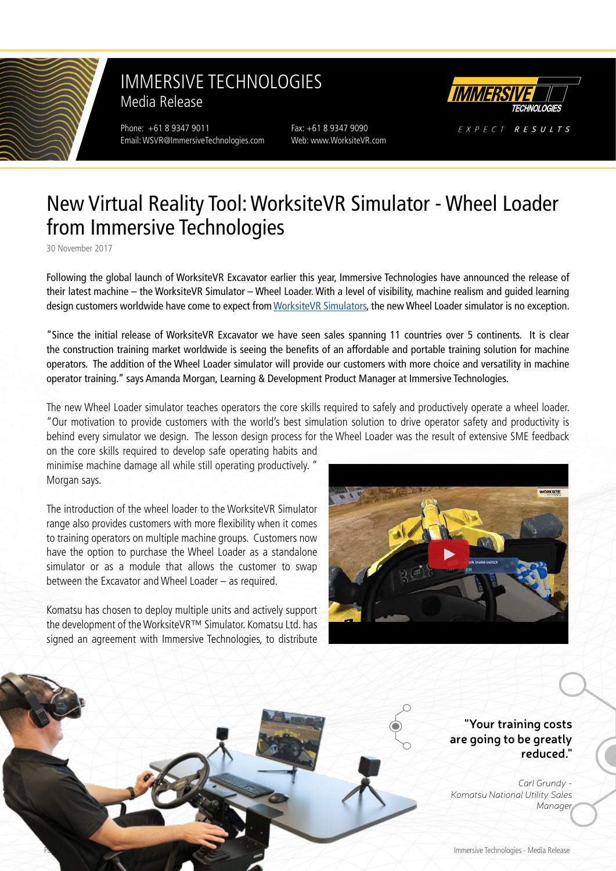

### IMMERSIVE TECHNOLOGIES Media Release

Phone: +61 8 9347 9011 Fax: +61 8 9347 9090 Email: WSVR@ImmersiveTechnologies.com Web: www.WorksiteVR.com



EXPECT RESULTS

# New Virtual Reality Tool: WorksiteVR Simulator - Wheel Loader from Immersive Technologies

30 November 2017

Following the global launch of WorksiteVR Excavator earlier this year, Immersive Technologies have announced the release of their latest machine – the WorksiteVR Simulator – Wheel Loader. With a level of visibility, machine realism and guided learning design customers worldwide have come to expect from [WorksiteVR Simulators](https://www.worksitevr.com), the new Wheel Loader simulator is no exception.

"Since the initial release of WorksiteVR Excavator we have seen sales spanning 11 countries over 5 continents. It is clear the construction training market worldwide is seeing the benefits of an affordable and portable training solution for machine operators. The addition of the Wheel Loader simulator will provide our customers with more choice and versatility in machine operator training." says Amanda Morgan, Learning & Development Product Manager at Immersive Technologies.

The new Wheel Loader simulator teaches operators the core skills required to safely and productively operate a wheel loader. "Our motivation to provide customers with the world's best simulation solution to drive operator safety and productivity is behind every simulator we design. The lesson design process for the Wheel Loader was the result of extensive SME feedback

on the core skills required to develop safe operating habits and minimise machine damage all while still operating productively. " Morgan says.

The introduction of the wheel loader to the WorksiteVR Simulator range also provides customers with more flexibility when it comes to training operators on multiple machine groups. Customers now have the option to purchase the Wheel Loader as a standalone simulator or as a module that allows the customer to swap between the Excavator and Wheel Loader – as required.

Komatsu has chosen to deploy multiple units and actively support the development of the WorksiteVR™ Simulator. Komatsu Ltd. has signed an agreement with Immersive Technologies, to distribute



**"Your training costs are going to be greatly reduced."**

*Carl Grundy - Komatsu National Utility Sales Manager*

Immersive Technologies - Media Release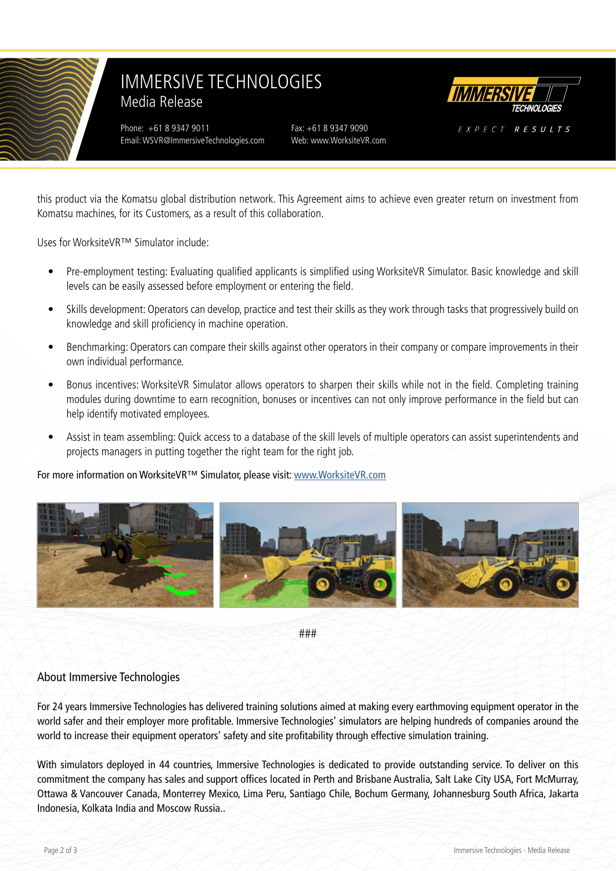

# IMMERSIVE TECHNOLOGIES Media Release

Phone: +61 8 9347 9011 Fax: +61 8 9347 9090 Email: WSVR@ImmersiveTechnologies.com Web: www.WorksiteVR.com



EXPECT RESULTS

this product via the Komatsu global distribution network. This Agreement aims to achieve even greater return on investment from Komatsu machines, for its Customers, as a result of this collaboration.

Uses for WorksiteVR™ Simulator include:

- Pre-employment testing: Evaluating qualified applicants is simplified using WorksiteVR Simulator. Basic knowledge and skill levels can be easily assessed before employment or entering the field.
- Skills development: Operators can develop, practice and test their skills as they work through tasks that progressively build on knowledge and skill proficiency in machine operation.
- Benchmarking: Operators can compare their skills against other operators in their company or compare improvements in their own individual performance.
- Bonus incentives: WorksiteVR Simulator allows operators to sharpen their skills while not in the field. Completing training modules during downtime to earn recognition, bonuses or incentives can not only improve performance in the field but can help identify motivated employees.
- Assist in team assembling: Quick access to a database of the skill levels of multiple operators can assist superintendents and projects managers in putting together the right team for the right job.

#### For more information on WorksiteVR™ Simulator, please visit: [www.WorksiteVR.com](https://www.WorksiteVR.com)



###

### About Immersive Technologies

For 24 years Immersive Technologies has delivered training solutions aimed at making every earthmoving equipment operator in the world safer and their employer more profitable. Immersive Technologies' simulators are helping hundreds of companies around the world to increase their equipment operators' safety and site profitability through effective simulation training.

With simulators deployed in 44 countries, Immersive Technologies is dedicated to provide outstanding service. To deliver on this commitment the company has sales and support offices located in Perth and Brisbane Australia, Salt Lake City USA, Fort McMurray, Ottawa & Vancouver Canada, Monterrey Mexico, Lima Peru, Santiago Chile, Bochum Germany, Johannesburg South Africa, Jakarta Indonesia, Kolkata India and Moscow Russia..